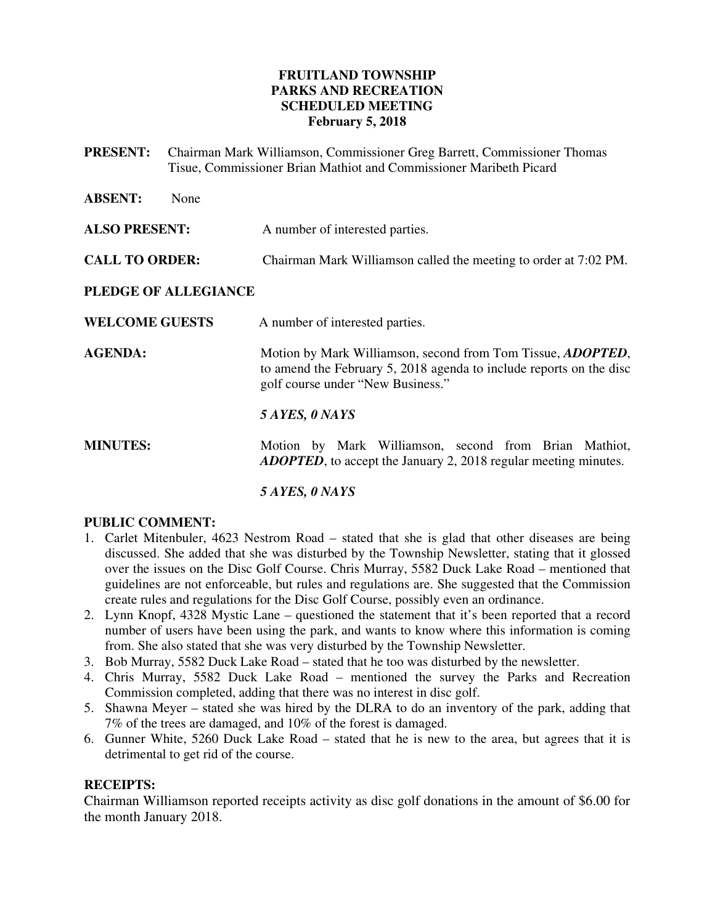# **FRUITLAND TOWNSHIP PARKS AND RECREATION SCHEDULED MEETING February 5, 2018**

**PRESENT:** Chairman Mark Williamson, Commissioner Greg Barrett, Commissioner Thomas Tisue, Commissioner Brian Mathiot and Commissioner Maribeth Picard

| <b>ABSENT:</b><br>None |                                                                                                                                                                                 |
|------------------------|---------------------------------------------------------------------------------------------------------------------------------------------------------------------------------|
| <b>ALSO PRESENT:</b>   | A number of interested parties.                                                                                                                                                 |
| <b>CALL TO ORDER:</b>  | Chairman Mark Williamson called the meeting to order at 7:02 PM.                                                                                                                |
| PLEDGE OF ALLEGIANCE   |                                                                                                                                                                                 |
| <b>WELCOME GUESTS</b>  | A number of interested parties.                                                                                                                                                 |
| <b>AGENDA:</b>         | Motion by Mark Williamson, second from Tom Tissue, <i>ADOPTED</i> ,<br>to amend the February 5, 2018 agenda to include reports on the disc<br>golf course under "New Business." |
|                        | 5 AYES, 0 NAYS                                                                                                                                                                  |
| <b>MINUTES:</b>        | Motion by Mark Williamson, second from Brian Mathiot,<br><b>ADOPTED</b> , to accept the January 2, 2018 regular meeting minutes.                                                |
|                        |                                                                                                                                                                                 |

# *5 AYES, 0 NAYS*

# **PUBLIC COMMENT:**

- 1. Carlet Mitenbuler, 4623 Nestrom Road stated that she is glad that other diseases are being discussed. She added that she was disturbed by the Township Newsletter, stating that it glossed over the issues on the Disc Golf Course. Chris Murray, 5582 Duck Lake Road – mentioned that guidelines are not enforceable, but rules and regulations are. She suggested that the Commission create rules and regulations for the Disc Golf Course, possibly even an ordinance.
- 2. Lynn Knopf, 4328 Mystic Lane questioned the statement that it's been reported that a record number of users have been using the park, and wants to know where this information is coming from. She also stated that she was very disturbed by the Township Newsletter.
- 3. Bob Murray, 5582 Duck Lake Road stated that he too was disturbed by the newsletter.
- 4. Chris Murray, 5582 Duck Lake Road mentioned the survey the Parks and Recreation Commission completed, adding that there was no interest in disc golf.
- 5. Shawna Meyer stated she was hired by the DLRA to do an inventory of the park, adding that 7% of the trees are damaged, and 10% of the forest is damaged.
- 6. Gunner White, 5260 Duck Lake Road stated that he is new to the area, but agrees that it is detrimental to get rid of the course.

# **RECEIPTS:**

Chairman Williamson reported receipts activity as disc golf donations in the amount of \$6.00 for the month January 2018.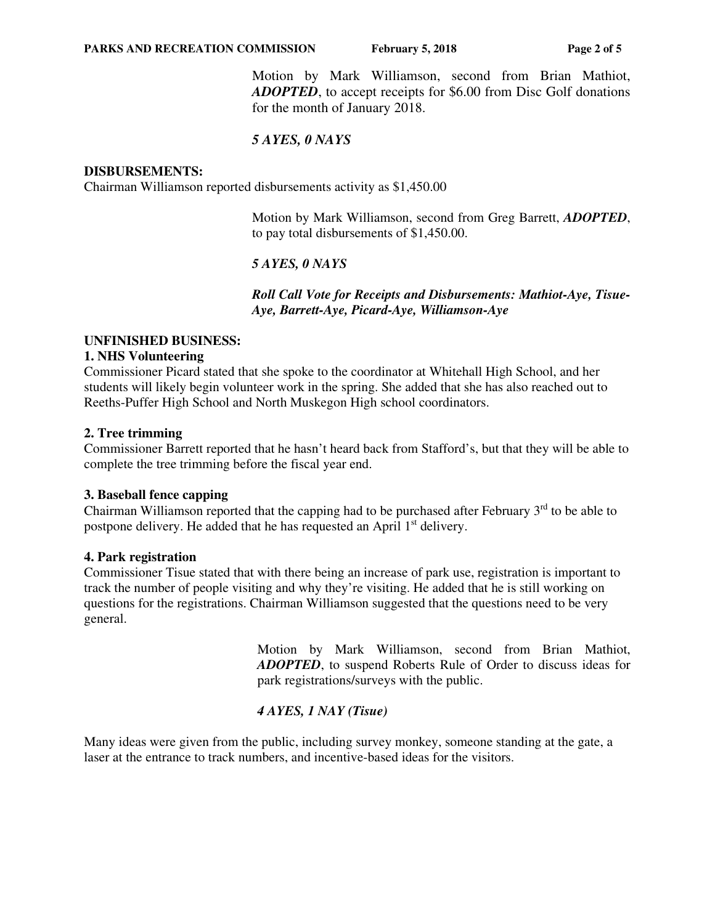#### **PARKS AND RECREATION COMMISSION** February 5, 2018 Page 2 of 5

 Motion by Mark Williamson, second from Brian Mathiot, *ADOPTED*, to accept receipts for \$6.00 from Disc Golf donations for the month of January 2018.

# *5 AYES, 0 NAYS*

#### **DISBURSEMENTS:**

Chairman Williamson reported disbursements activity as \$1,450.00

Motion by Mark Williamson, second from Greg Barrett, *ADOPTED*, to pay total disbursements of \$1,450.00.

## *5 AYES, 0 NAYS*

 *Roll Call Vote for Receipts and Disbursements: Mathiot-Aye, Tisue-Aye, Barrett-Aye, Picard-Aye, Williamson-Aye* 

## **UNFINISHED BUSINESS:**

#### **1. NHS Volunteering**

Commissioner Picard stated that she spoke to the coordinator at Whitehall High School, and her students will likely begin volunteer work in the spring. She added that she has also reached out to Reeths-Puffer High School and North Muskegon High school coordinators.

## **2. Tree trimming**

Commissioner Barrett reported that he hasn't heard back from Stafford's, but that they will be able to complete the tree trimming before the fiscal year end.

## **3. Baseball fence capping**

Chairman Williamson reported that the capping had to be purchased after February  $3<sup>rd</sup>$  to be able to postpone delivery. He added that he has requested an April 1<sup>st</sup> delivery.

#### **4. Park registration**

Commissioner Tisue stated that with there being an increase of park use, registration is important to track the number of people visiting and why they're visiting. He added that he is still working on questions for the registrations. Chairman Williamson suggested that the questions need to be very general.

> Motion by Mark Williamson, second from Brian Mathiot, *ADOPTED*, to suspend Roberts Rule of Order to discuss ideas for park registrations/surveys with the public.

## *4 AYES, 1 NAY (Tisue)*

Many ideas were given from the public, including survey monkey, someone standing at the gate, a laser at the entrance to track numbers, and incentive-based ideas for the visitors.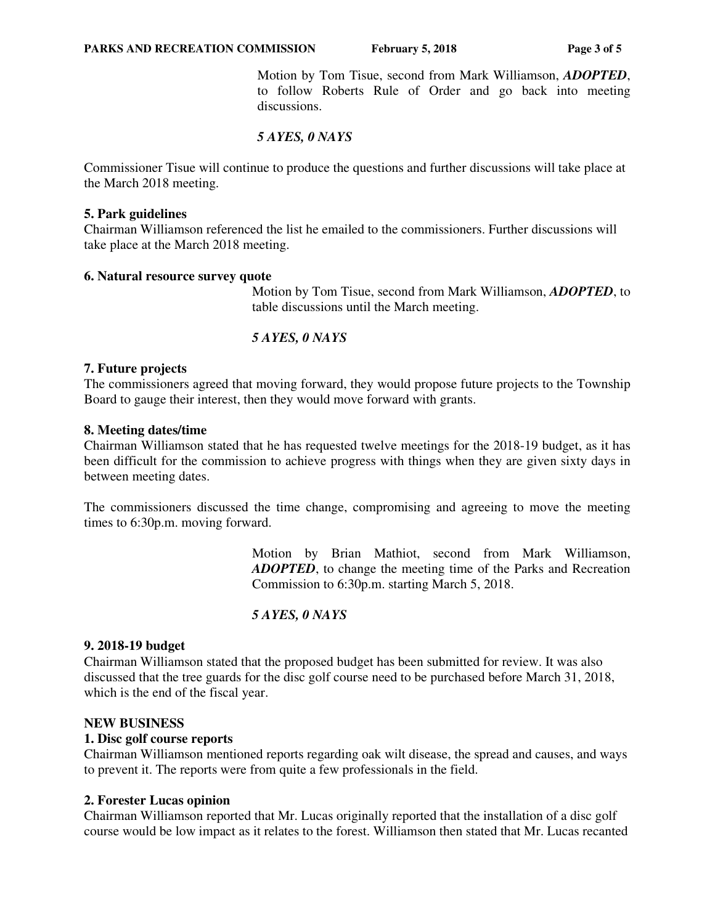Motion by Tom Tisue, second from Mark Williamson, *ADOPTED*, to follow Roberts Rule of Order and go back into meeting discussions.

# *5 AYES, 0 NAYS*

Commissioner Tisue will continue to produce the questions and further discussions will take place at the March 2018 meeting.

## **5. Park guidelines**

Chairman Williamson referenced the list he emailed to the commissioners. Further discussions will take place at the March 2018 meeting.

## **6. Natural resource survey quote**

Motion by Tom Tisue, second from Mark Williamson, *ADOPTED*, to table discussions until the March meeting.

## *5 AYES, 0 NAYS*

## **7. Future projects**

The commissioners agreed that moving forward, they would propose future projects to the Township Board to gauge their interest, then they would move forward with grants.

## **8. Meeting dates/time**

Chairman Williamson stated that he has requested twelve meetings for the 2018-19 budget, as it has been difficult for the commission to achieve progress with things when they are given sixty days in between meeting dates.

The commissioners discussed the time change, compromising and agreeing to move the meeting times to 6:30p.m. moving forward.

> Motion by Brian Mathiot, second from Mark Williamson, *ADOPTED*, to change the meeting time of the Parks and Recreation Commission to 6:30p.m. starting March 5, 2018.

# *5 AYES, 0 NAYS*

## **9. 2018-19 budget**

Chairman Williamson stated that the proposed budget has been submitted for review. It was also discussed that the tree guards for the disc golf course need to be purchased before March 31, 2018, which is the end of the fiscal year.

## **NEW BUSINESS**

## **1. Disc golf course reports**

Chairman Williamson mentioned reports regarding oak wilt disease, the spread and causes, and ways to prevent it. The reports were from quite a few professionals in the field.

## **2. Forester Lucas opinion**

Chairman Williamson reported that Mr. Lucas originally reported that the installation of a disc golf course would be low impact as it relates to the forest. Williamson then stated that Mr. Lucas recanted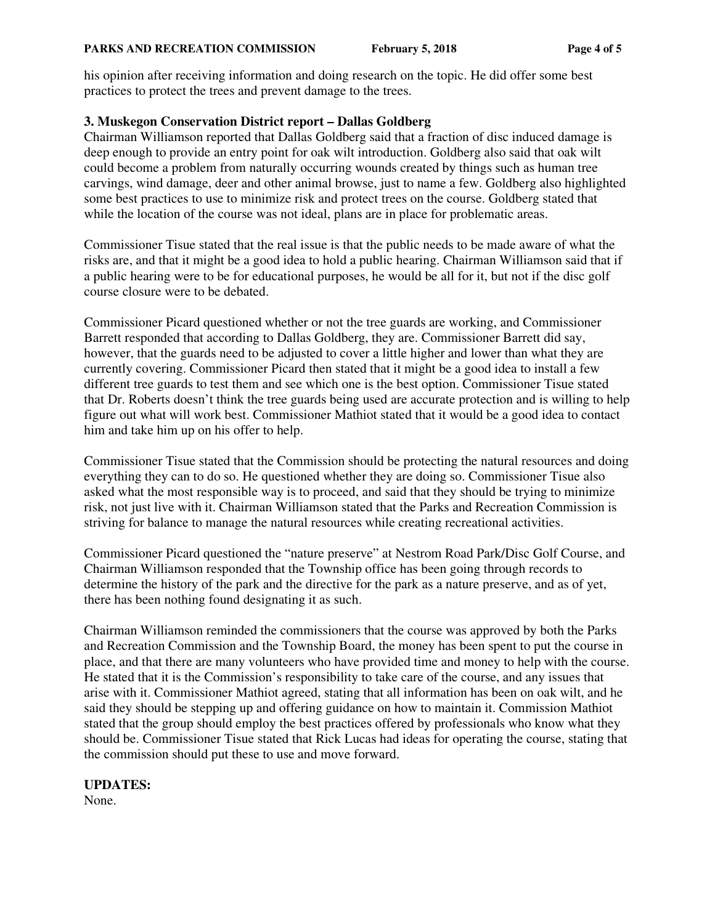his opinion after receiving information and doing research on the topic. He did offer some best practices to protect the trees and prevent damage to the trees.

# **3. Muskegon Conservation District report – Dallas Goldberg**

Chairman Williamson reported that Dallas Goldberg said that a fraction of disc induced damage is deep enough to provide an entry point for oak wilt introduction. Goldberg also said that oak wilt could become a problem from naturally occurring wounds created by things such as human tree carvings, wind damage, deer and other animal browse, just to name a few. Goldberg also highlighted some best practices to use to minimize risk and protect trees on the course. Goldberg stated that while the location of the course was not ideal, plans are in place for problematic areas.

Commissioner Tisue stated that the real issue is that the public needs to be made aware of what the risks are, and that it might be a good idea to hold a public hearing. Chairman Williamson said that if a public hearing were to be for educational purposes, he would be all for it, but not if the disc golf course closure were to be debated.

Commissioner Picard questioned whether or not the tree guards are working, and Commissioner Barrett responded that according to Dallas Goldberg, they are. Commissioner Barrett did say, however, that the guards need to be adjusted to cover a little higher and lower than what they are currently covering. Commissioner Picard then stated that it might be a good idea to install a few different tree guards to test them and see which one is the best option. Commissioner Tisue stated that Dr. Roberts doesn't think the tree guards being used are accurate protection and is willing to help figure out what will work best. Commissioner Mathiot stated that it would be a good idea to contact him and take him up on his offer to help.

Commissioner Tisue stated that the Commission should be protecting the natural resources and doing everything they can to do so. He questioned whether they are doing so. Commissioner Tisue also asked what the most responsible way is to proceed, and said that they should be trying to minimize risk, not just live with it. Chairman Williamson stated that the Parks and Recreation Commission is striving for balance to manage the natural resources while creating recreational activities.

Commissioner Picard questioned the "nature preserve" at Nestrom Road Park/Disc Golf Course, and Chairman Williamson responded that the Township office has been going through records to determine the history of the park and the directive for the park as a nature preserve, and as of yet, there has been nothing found designating it as such.

Chairman Williamson reminded the commissioners that the course was approved by both the Parks and Recreation Commission and the Township Board, the money has been spent to put the course in place, and that there are many volunteers who have provided time and money to help with the course. He stated that it is the Commission's responsibility to take care of the course, and any issues that arise with it. Commissioner Mathiot agreed, stating that all information has been on oak wilt, and he said they should be stepping up and offering guidance on how to maintain it. Commission Mathiot stated that the group should employ the best practices offered by professionals who know what they should be. Commissioner Tisue stated that Rick Lucas had ideas for operating the course, stating that the commission should put these to use and move forward.

# **UPDATES:**

None.